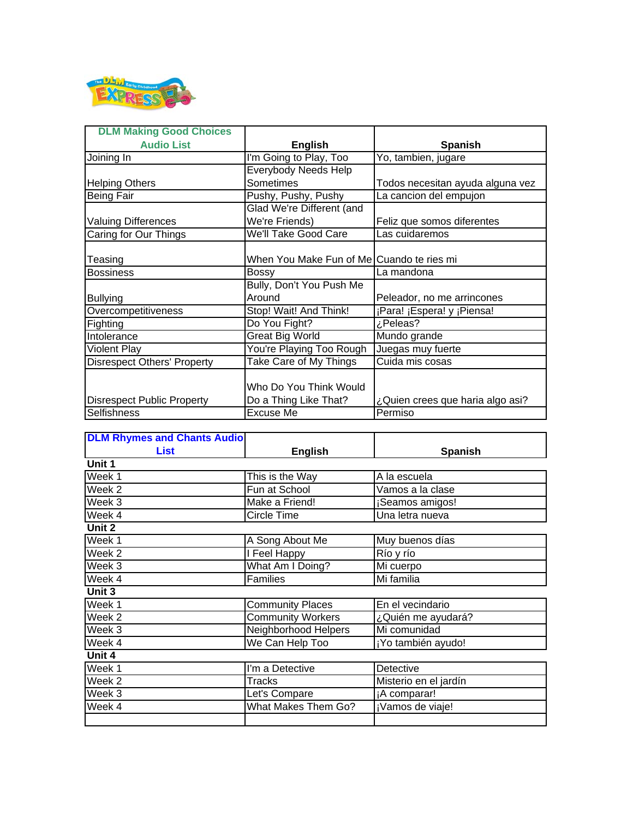

| <b>DLM Making Good Choices</b>     |                                           |                                  |
|------------------------------------|-------------------------------------------|----------------------------------|
| <b>Audio List</b>                  | <b>English</b>                            | <b>Spanish</b>                   |
| Joining In                         | I'm Going to Play, Too                    | Yo, tambien, jugare              |
|                                    | Everybody Needs Help                      |                                  |
| <b>Helping Others</b>              | Sometimes                                 | Todos necesitan ayuda alguna vez |
| <b>Being Fair</b>                  | Pushy, Pushy, Pushy                       | La cancion del empujon           |
|                                    | Glad We're Different (and                 |                                  |
| <b>Valuing Differences</b>         | We're Friends)                            | Feliz que somos diferentes       |
| Caring for Our Things              | We'll Take Good Care                      | Las cuidaremos                   |
|                                    |                                           |                                  |
| Teasing                            | When You Make Fun of Me Cuando te ries mi |                                  |
| <b>Bossiness</b>                   | <b>Bossy</b>                              | La mandona                       |
|                                    | Bully, Don't You Push Me                  |                                  |
| <b>Bullying</b>                    | Around                                    | Peleador, no me arrincones       |
| Overcompetitiveness                | Stop! Wait! And Think!                    | ¡Para! ¡Espera! y ¡Piensa!       |
| <b>Fighting</b>                    | Do You Fight?                             | ¿Peleas?                         |
| Intolerance                        | <b>Great Big World</b>                    | Mundo grande                     |
| <b>Violent Play</b>                | You're Playing Too Rough                  | Juegas muy fuerte                |
| <b>Disrespect Others' Property</b> | Take Care of My Things                    | Cuida mis cosas                  |
|                                    |                                           |                                  |
|                                    | Who Do You Think Would                    |                                  |
| <b>Disrespect Public Property</b>  | Do a Thing Like That?                     | ¿Quien crees que haria algo asi? |
| Selfishness                        | Excuse Me                                 | Permiso                          |

| <b>DLM Rhymes and Chants Audio</b> |                          |                       |
|------------------------------------|--------------------------|-----------------------|
| <b>List</b>                        | <b>English</b>           | <b>Spanish</b>        |
| Unit 1                             |                          |                       |
| Week 1                             | This is the Way          | A la escuela          |
| Week 2                             | Fun at School            | Vamos a la clase      |
| Week 3                             | Make a Friend!           | ¡Seamos amigos!       |
| Week 4                             | Circle Time              | Una letra nueva       |
| Unit 2                             |                          |                       |
| Week 1                             | A Song About Me          | Muy buenos días       |
| Week 2                             | I Feel Happy             | Río y río             |
| Week 3                             | What Am I Doing?         | Mi cuerpo             |
| Week 4                             | <b>Families</b>          | Mi familia            |
| Unit 3                             |                          |                       |
| Week 1                             | <b>Community Places</b>  | En el vecindario      |
| Week <sub>2</sub>                  | <b>Community Workers</b> | ¿Quién me ayudará?    |
| Week 3                             | Neighborhood Helpers     | Mi comunidad          |
| Week 4                             | We Can Help Too          | ¡Yo también ayudo!    |
| Unit 4                             |                          |                       |
| Week 1                             | I'm a Detective          | <b>Detective</b>      |
| Week <sub>2</sub>                  | Tracks                   | Misterio en el jardín |
| Week 3                             | Let's Compare            | ¡A comparar!          |
| Week 4                             | What Makes Them Go?      | ¡Vamos de viaje!      |
|                                    |                          |                       |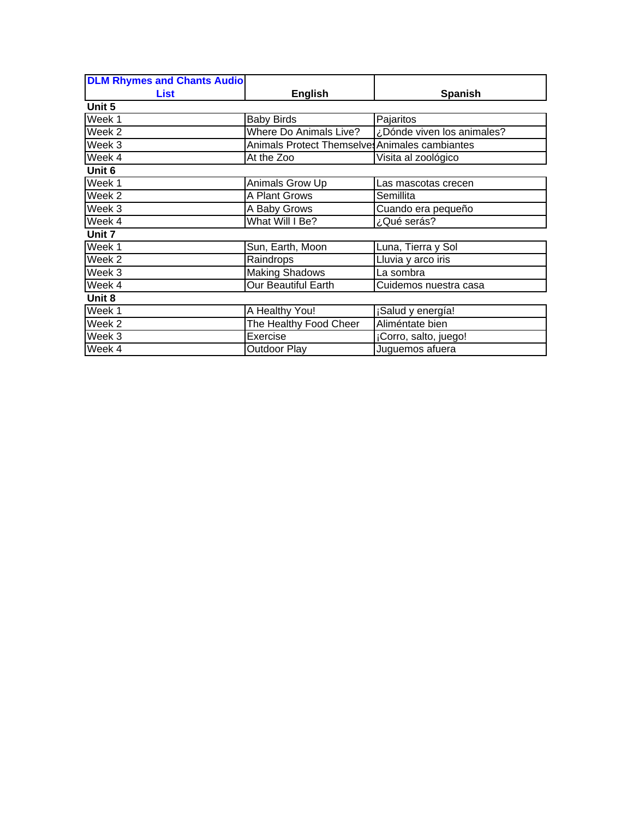| <b>DLM Rhymes and Chants Audio</b> |                                                |                            |
|------------------------------------|------------------------------------------------|----------------------------|
| <b>List</b>                        | <b>English</b>                                 | <b>Spanish</b>             |
| Unit 5                             |                                                |                            |
| Week 1                             | <b>Baby Birds</b>                              | Pajaritos                  |
| Week <sub>2</sub>                  | <b>Where Do Animals Live?</b>                  | ¿Dónde viven los animales? |
| Week 3                             | Animals Protect Themselves Animales cambiantes |                            |
| Week 4                             | At the Zoo                                     | Visita al zoológico        |
| Unit 6                             |                                                |                            |
| Week 1                             | Animals Grow Up                                | Las mascotas crecen        |
| Week <sub>2</sub>                  | A Plant Grows                                  | Semillita                  |
| Week 3                             | A Baby Grows                                   | Cuando era pequeño         |
| Week 4                             | What Will I Be?                                | ¿Qué serás?                |
| Unit 7                             |                                                |                            |
| Week 1                             | Sun, Earth, Moon                               | Luna, Tierra y Sol         |
| Week <sub>2</sub>                  | Raindrops                                      | Lluvia y arco iris         |
| Week <sub>3</sub>                  | <b>Making Shadows</b>                          | La sombra                  |
| Week 4                             | <b>Our Beautiful Earth</b>                     | Cuidemos nuestra casa      |
| Unit 8                             |                                                |                            |
| Week 1                             | A Healthy You!                                 | ¡Salud y energía!          |
| Week <sub>2</sub>                  | The Healthy Food Cheer                         | Aliméntate bien            |
| Week 3                             | Exercise                                       | ¡Corro, salto, juego!      |
| Week 4                             | Outdoor Play                                   | Juguemos afuera            |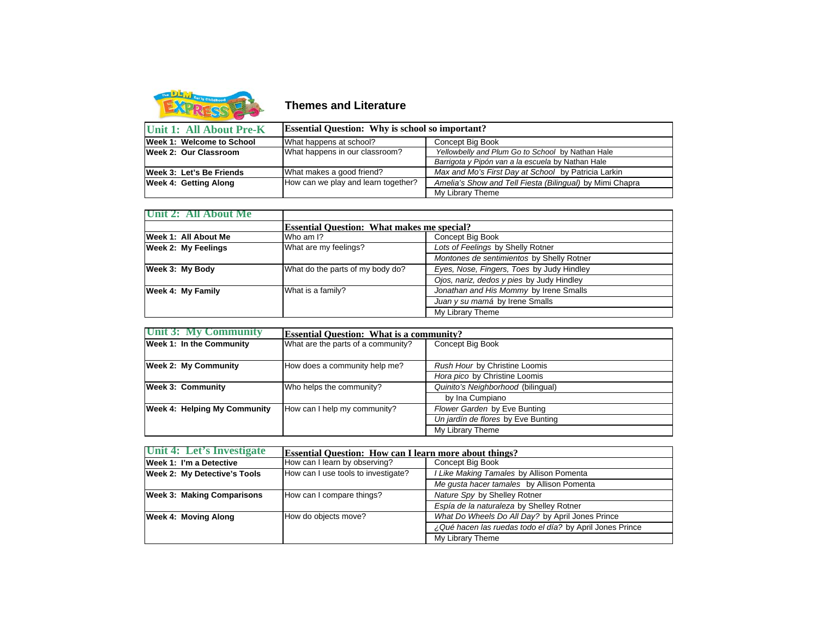

**Themes and Literature**

| Unit 1: All About Pre-K   | <b>Essential Question:</b> Why is school so important? |                                                          |
|---------------------------|--------------------------------------------------------|----------------------------------------------------------|
| Week 1: Welcome to School | What happens at school?                                | Concept Big Book                                         |
| Week 2: Our Classroom     | What happens in our classroom?                         | Yellowbelly and Plum Go to School by Nathan Hale         |
|                           |                                                        | Barrigota y Pipón van a la escuela by Nathan Hale        |
| Week 3: Let's Be Friends  | What makes a good friend?                              | Max and Mo's First Day at School by Patricia Larkin      |
| Week 4: Getting Along     | How can we play and learn together?                    | Amelia's Show and Tell Fiesta (Bilingual) by Mimi Chapra |
|                           |                                                        | My Library Theme                                         |

| Unit 2: All About Me       |                                  |                                                   |  |
|----------------------------|----------------------------------|---------------------------------------------------|--|
|                            |                                  | <b>Essential Question:</b> What makes me special? |  |
| Week 1: All About Me       | Who am I?                        | Concept Big Book                                  |  |
| <b>Week 2: My Feelings</b> | What are my feelings?            | Lots of Feelings by Shelly Rotner                 |  |
|                            |                                  | Montones de sentimientos by Shelly Rotner         |  |
| Week 3: My Body            | What do the parts of my body do? | Eyes, Nose, Fingers, Toes by Judy Hindley         |  |
|                            |                                  | Ojos, nariz, dedos y pies by Judy Hindley         |  |
| Week 4: My Family          | What is a family?                | Jonathan and His Mommy by Irene Smalls            |  |
|                            |                                  | Juan y su mamá by Irene Smalls                    |  |
|                            |                                  | My Library Theme                                  |  |

| Unit 3: My Community                | <b>Essential Question: What is a community?</b> |                                    |
|-------------------------------------|-------------------------------------------------|------------------------------------|
| <b>Week 1: In the Community</b>     | What are the parts of a community?              | Concept Big Book                   |
|                                     |                                                 |                                    |
| <b>Week 2: My Community</b>         | How does a community help me?                   | Rush Hour by Christine Loomis      |
|                                     |                                                 | Hora pico by Christine Loomis      |
| <b>Week 3: Community</b>            | Who helps the community?                        | Quinito's Neighborhood (bilingual) |
|                                     |                                                 | by Ina Cumpiano                    |
| <b>Week 4: Helping My Community</b> | How can I help my community?                    | Flower Garden by Eve Bunting       |
|                                     |                                                 | Un jardín de flores by Eve Bunting |
|                                     |                                                 | My Library Theme                   |

| Unit 4: Let's Investigate           | <b>Essential Question: How can I learn more about things?</b> |                                                          |
|-------------------------------------|---------------------------------------------------------------|----------------------------------------------------------|
| Week 1: I'm a Detective             | How can I learn by observing?                                 | Concept Big Book                                         |
| <b>Week 2: My Detective's Tools</b> | How can I use tools to investigate?                           | I Like Making Tamales by Allison Pomenta                 |
|                                     |                                                               | Me gusta hacer tamales by Allison Pomenta                |
| <b>Week 3: Making Comparisons</b>   | How can I compare things?                                     | Nature Spy by Shelley Rotner                             |
|                                     |                                                               | Espía de la naturaleza by Shelley Rotner                 |
| Week 4: Moving Along                | How do objects move?                                          | What Do Wheels Do All Day? by April Jones Prince         |
|                                     |                                                               | ¿Qué hacen las ruedas todo el día? by April Jones Prince |
|                                     |                                                               | My Library Theme                                         |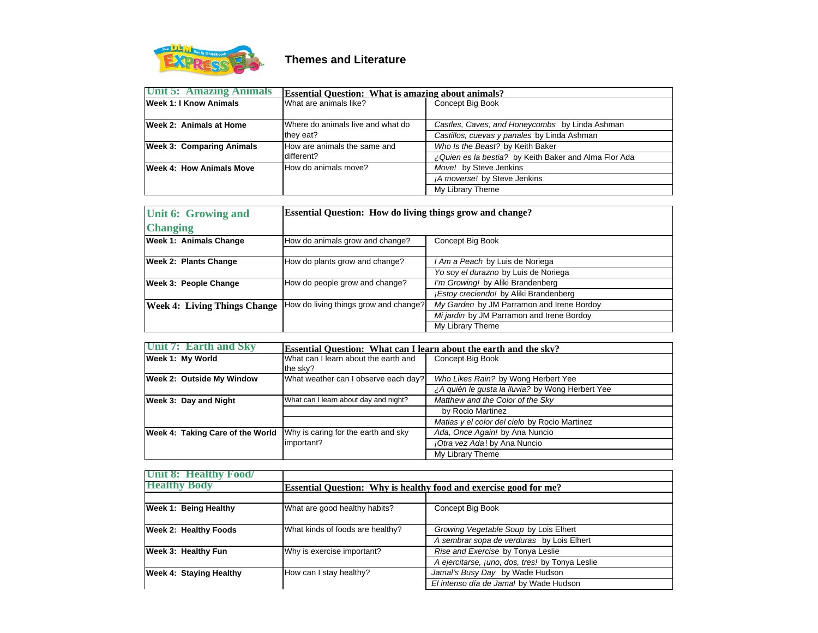

## **Themes and Literature**

| Unit 5: Amazing Animals          | <b>Essential Question: What is amazing about animals?</b> |                                                       |
|----------------------------------|-----------------------------------------------------------|-------------------------------------------------------|
| <b>Week 1: I Know Animals</b>    | What are animals like?                                    | Concept Big Book                                      |
|                                  |                                                           |                                                       |
| Week 2: Animals at Home          | Where do animals live and what do                         | Castles, Caves, and Honeycombs by Linda Ashman        |
|                                  | they eat?                                                 | Castillos, cuevas y panales by Linda Ashman           |
| <b>Week 3: Comparing Animals</b> | How are animals the same and                              | Who Is the Beast? by Keith Baker                      |
|                                  | different?                                                | ¿Quien es la bestia? by Keith Baker and Alma Flor Ada |
| Week 4: How Animals Move         | How do animals move?                                      | Move! by Steve Jenkins                                |
|                                  |                                                           | ¡A moverse! by Steve Jenkins                          |
|                                  |                                                           | My Library Theme                                      |

| Unit 6: Growing and                 | <b>Essential Question: How do living things grow and change?</b> |                                           |
|-------------------------------------|------------------------------------------------------------------|-------------------------------------------|
| <b>Changing</b>                     |                                                                  |                                           |
| <b>Week 1: Animals Change</b>       | How do animals grow and change?                                  | Concept Big Book                          |
| <b>Week 2: Plants Change</b>        | How do plants grow and change?                                   | I Am a Peach by Luis de Noriega           |
|                                     |                                                                  | Yo soy el durazno by Luis de Noriega      |
| <b>Week 3: People Change</b>        | How do people grow and change?                                   | I'm Growing! by Aliki Brandenberg         |
|                                     |                                                                  | ¡Estoy creciendo! by Aliki Brandenberg    |
| <b>Week 4: Living Things Change</b> | How do living things grow and change?                            | My Garden by JM Parramon and Irene Bordoy |
|                                     |                                                                  | Mi jardin by JM Parramon and Irene Bordoy |
|                                     |                                                                  | My Library Theme                          |

| Unit 7: Earth and Sky            | Essential Question: What can I learn about the earth and the sky? |                                                  |
|----------------------------------|-------------------------------------------------------------------|--------------------------------------------------|
| Week 1: My World                 | What can I learn about the earth and                              | Concept Big Book                                 |
|                                  | the sky?                                                          |                                                  |
| <b>Week 2: Outside My Window</b> | What weather can I observe each day?                              | Who Likes Rain? by Wong Herbert Yee              |
|                                  |                                                                   | ¿A quién le qusta la lluvia? by Wong Herbert Yee |
| Week 3: Day and Night            | What can I learn about day and night?                             | Matthew and the Color of the Sky                 |
|                                  |                                                                   | by Rocio Martinez                                |
|                                  |                                                                   | Matias y el color del cielo by Rocio Martinez    |
| Week 4: Taking Care of the World | Why is caring for the earth and sky                               | Ada, Once Again! by Ana Nuncio                   |
|                                  | important?                                                        | ¡Otra vez Ada! by Ana Nuncio                     |
|                                  |                                                                   | My Library Theme                                 |

| Unit 8: Healthy Food/          |                                                                          |                                                 |
|--------------------------------|--------------------------------------------------------------------------|-------------------------------------------------|
| <b>Healthy Body</b>            | <b>Essential Ouestion:</b> Why is healthy food and exercise good for me? |                                                 |
|                                |                                                                          |                                                 |
| <b>Week 1: Being Healthy</b>   | What are good healthy habits?                                            | Concept Big Book                                |
| <b>Week 2: Healthy Foods</b>   | What kinds of foods are healthy?                                         | Growing Vegetable Soup by Lois Elhert           |
|                                |                                                                          | A sembrar sopa de verduras by Lois Elhert       |
| Week 3: Healthy Fun            | Why is exercise important?                                               | Rise and Exercise by Tonya Leslie               |
|                                |                                                                          | A ejercitarse, juno, dos, tres! by Tonya Leslie |
| <b>Week 4: Staying Healthy</b> | How can I stay healthy?                                                  | Jamal's Busy Day by Wade Hudson                 |
|                                |                                                                          | El intenso día de Jamal by Wade Hudson          |